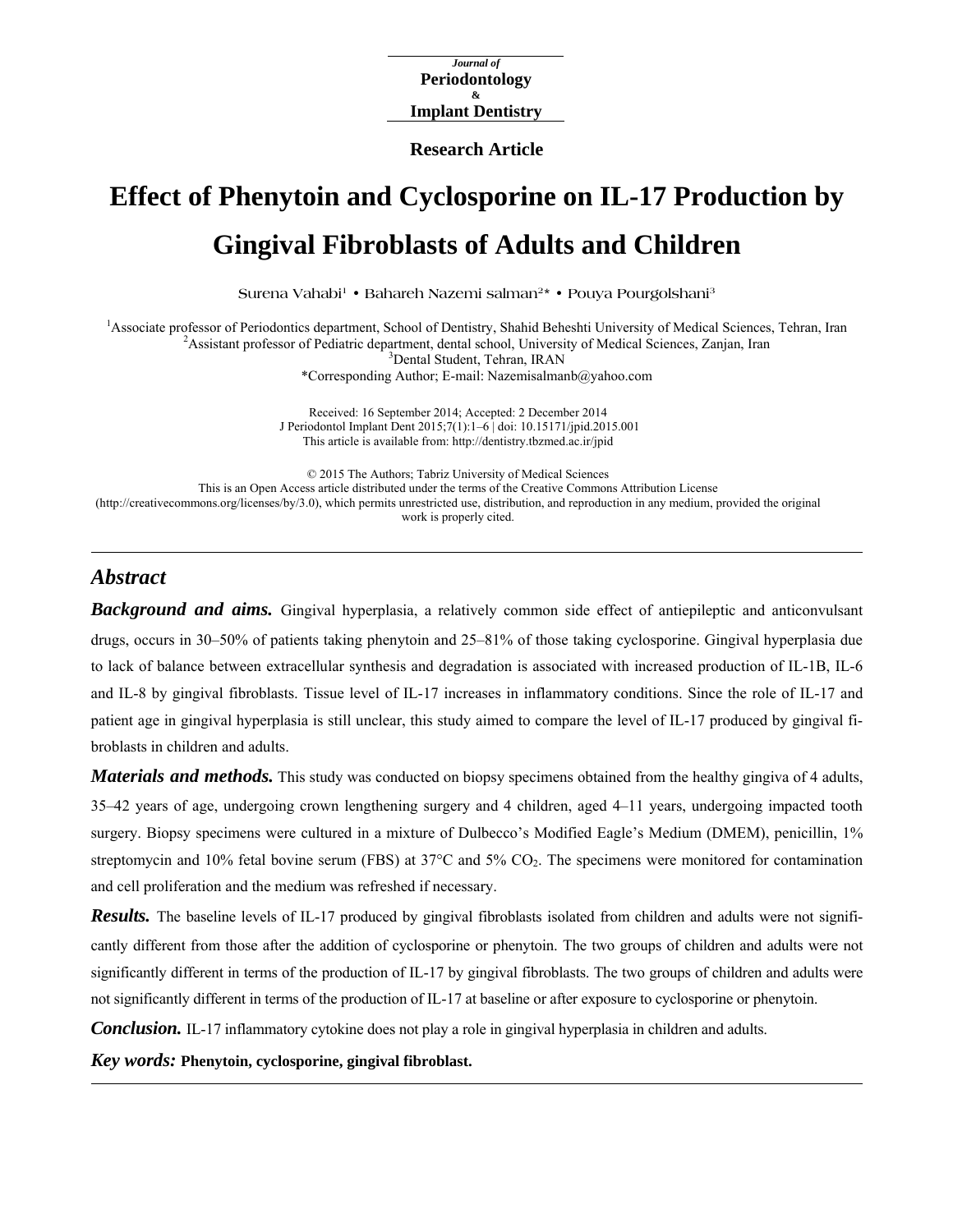*Journal of*  **Periodontology & Implant Dentistry** 

**Research Article**

# **Effect of Phenytoin and Cyclosporine on IL-17 Production by Gingival Fibroblasts of Adults and Children**

Surena Vahabi<sup>1</sup> • Bahareh Nazemi salman<sup>2</sup> • Pouya Pourgolshani<sup>3</sup>

<sup>1</sup> Associate professor of Periodontics department, School of Dentistry, Shahid Beheshti University of Medical Sciences, Tehran, Iran <sup>2</sup> A cristant professor of Pediatric department, depth chola Liniversity of Medical Sci <sup>2</sup> Assistant professor of Pediatric department, dental school, University of Medical Sciences, Zanjan, Iran <sup>3</sup>Dental Student, Tehran, IRAN

\*Corresponding Author; E-mail: Nazemisalmanb@yahoo.com

Received: 16 September 2014; Accepted: 2 December 2014 J Periodontol Implant Dent 2015;7(1):1–6 | [doi: 10.15171/jpid.2015.001](http://dx.doi.org/10.15171/jpid.2015.001)  This article is available from: <http://dentistry.tbzmed.ac.ir/jpid>

© 2015 The Authors; Tabriz University of Medical Sciences This is an Open Access article distributed under the terms of the Creative Commons Attribution License [\(http://creativecommons.org/licenses/by/3.0](http://creativecommons.org/licenses/by/3.0)), which permits unrestricted use, distribution, and reproduction in any medium, provided the original work is properly cited.

# *Abstract*

*Background and aims.* Gingival hyperplasia, a relatively common side effect of antiepileptic and anticonvulsant drugs, occurs in 30–50% of patients taking phenytoin and 25–81% of those taking cyclosporine. Gingival hyperplasia due to lack of balance between extracellular synthesis and degradation is associated with increased production of IL-1B, IL-6 and IL-8 by gingival fibroblasts. Tissue level of IL-17 increases in inflammatory conditions. Since the role of IL-17 and patient age in gingival hyperplasia is still unclear, this study aimed to compare the level of IL-17 produced by gingival fibroblasts in children and adults.

*Materials and methods.* This study was conducted on biopsy specimens obtained from the healthy gingiva of 4 adults, 35‒42 years of age, undergoing crown lengthening surgery and 4 children, aged 4‒11 years, undergoing impacted tooth surgery. Biopsy specimens were cultured in a mixture of Dulbecco's Modified Eagle's Medium (DMEM), penicillin, 1% streptomycin and 10% fetal bovine serum (FBS) at  $37^{\circ}$ C and  $5\%$  CO<sub>2</sub>. The specimens were monitored for contamination and cell proliferation and the medium was refreshed if necessary.

*Results.* The baseline levels of IL-17 produced by gingival fibroblasts isolated from children and adults were not significantly different from those after the addition of cyclosporine or phenytoin. The two groups of children and adults were not significantly different in terms of the production of IL-17 by gingival fibroblasts. The two groups of children and adults were not significantly different in terms of the production of IL-17 at baseline or after exposure to cyclosporine or phenytoin.

*Conclusion.* IL-17 inflammatory cytokine does not play a role in gingival hyperplasia in children and adults.

*Key words:* **Phenytoin, cyclosporine, gingival fibroblast.**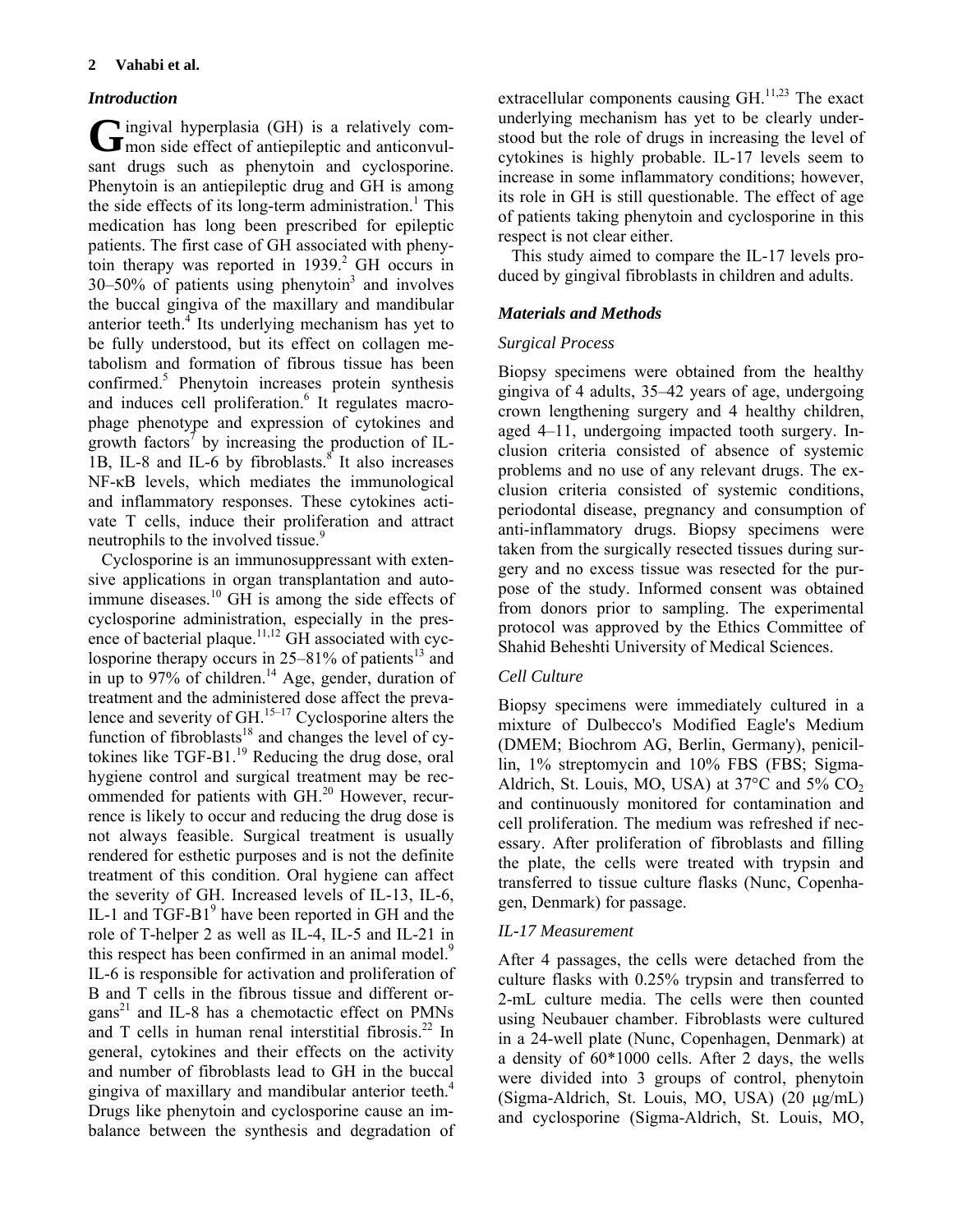# *Introduction*

 $\blacktriangleright$  ingival hyperplasia (GH) is a relatively com-G ingival hyperplasia (GH) is a relatively com-<br>mon side effect of antiepileptic and anticonvulsant drugs such as phenytoin and cyclosporine. Phenytoin is an antiepileptic drug and GH is among the side effects of its long-term administration.<sup>1</sup> This medication has long been prescribed for epileptic patients. The first case of GH associated with phenytoin therapy was reported in  $1939$ <sup>2</sup> GH occurs in  $30-50\%$  of patients using phenytoin<sup>3</sup> and involves the buccal gingiva of the maxillary and mandibular anterior teeth.<sup>4</sup> Its underlying mechanism has yet to be fully understood, but its effect on collagen metabolism and formation of fibrous tissue has been confirmed.<sup>5</sup> Phenytoin increases protein synthesis and induces cell proliferation.<sup>6</sup> It regulates macrophage phenotype and expression of cytokines and growth factors<sup> $\bar{\}$ </sup> by increasing the production of IL-1B, IL-8 and IL-6 by fibroblasts. $8$  It also increases NF-κB levels, which mediates the immunological and inflammatory responses. These cytokines activate T cells, induce their proliferation and attract neutrophils to the involved tissue.<sup>9</sup>

Cyclosporine is an immunosuppressant with extensive applications in organ transplantation and autoimmune diseases. $^{10}$  GH is among the side effects of cyclosporine administration, especially in the presence of bacterial plaque.<sup>11,12</sup> GH associated with cyclosporine therapy occurs in  $25-81\%$  of patients<sup>13</sup> and in up to 97% of children.<sup>14</sup> Age, gender, duration of treatment and the administered dose affect the prevalence and severity of GH. $15-17$  Cyclosporine alters the function of fibroblasts<sup>18</sup> and changes the level of cytokines like  $TGF-B1<sup>19</sup>$  Reducing the drug dose, oral hygiene control and surgical treatment may be recommended for patients with GH.<sup>20</sup> However, recurrence is likely to occur and reducing the drug dose is not always feasible. Surgical treatment is usually rendered for esthetic purposes and is not the definite treatment of this condition. Oral hygiene can affect the severity of GH. Increased levels of IL-13, IL-6, IL-1 and TGF-B1<sup>9</sup> have been reported in GH and the role of T-helper 2 as well as IL-4, IL-5 and IL-21 in this respect has been confirmed in an animal model.<sup>9</sup> IL-6 is responsible for activation and proliferation of B and T cells in the fibrous tissue and different organs<sup>21</sup> and IL-8 has a chemotactic effect on PMNs and T cells in human renal interstitial fibrosis. $^{22}$  In general, cytokines and their effects on the activity and number of fibroblasts lead to GH in the buccal gingiva of maxillary and mandibular anterior teeth.4 Drugs like phenytoin and cyclosporine cause an imbalance between the synthesis and degradation of

extracellular components causing  $GH^{11,23}$  The exact underlying mechanism has yet to be clearly understood but the role of drugs in increasing the level of cytokines is highly probable. IL-17 levels seem to increase in some inflammatory conditions; however, its role in GH is still questionable. The effect of age of patients taking phenytoin and cyclosporine in this respect is not clear either.

This study aimed to compare the IL-17 levels produced by gingival fibroblasts in children and adults.

# *Materials and Methods*

## *Surgical Process*

Biopsy specimens were obtained from the healthy gingiva of 4 adults, 35‒42 years of age, undergoing crown lengthening surgery and 4 healthy children, aged 4–11, undergoing impacted tooth surgery. Inclusion criteria consisted of absence of systemic problems and no use of any relevant drugs. The exclusion criteria consisted of systemic conditions, periodontal disease, pregnancy and consumption of anti-inflammatory drugs. Biopsy specimens were taken from the surgically resected tissues during surgery and no excess tissue was resected for the purpose of the study. Informed consent was obtained from donors prior to sampling. The experimental protocol was approved by the Ethics Committee of Shahid Beheshti University of Medical Sciences.

## *Cell Culture*

Biopsy specimens were immediately cultured in a mixture of Dulbecco's Modified Eagle's Medium (DMEM; Biochrom AG, Berlin, Germany), penicillin, 1% streptomycin and 10% FBS (FBS; Sigma-Aldrich, St. Louis, MO, USA) at  $37^{\circ}$ C and  $5\%$  CO<sub>2</sub> and continuously monitored for contamination and cell proliferation. The medium was refreshed if necessary. After proliferation of fibroblasts and filling the plate, the cells were treated with trypsin and transferred to tissue culture flasks (Nunc, Copenhagen, Denmark) for passage.

## *IL-17 Measurement*

After 4 passages, the cells were detached from the culture flasks with 0.25% trypsin and transferred to 2-mL culture media. The cells were then counted using Neubauer chamber. Fibroblasts were cultured in a 24-well plate (Nunc, Copenhagen, Denmark) at a density of 60\*1000 cells. After 2 days, the wells were divided into 3 groups of control, phenytoin (Sigma-Aldrich, St. Louis, MO, USA) (20 μg/mL) and cyclosporine (Sigma-Aldrich, St. Louis, MO,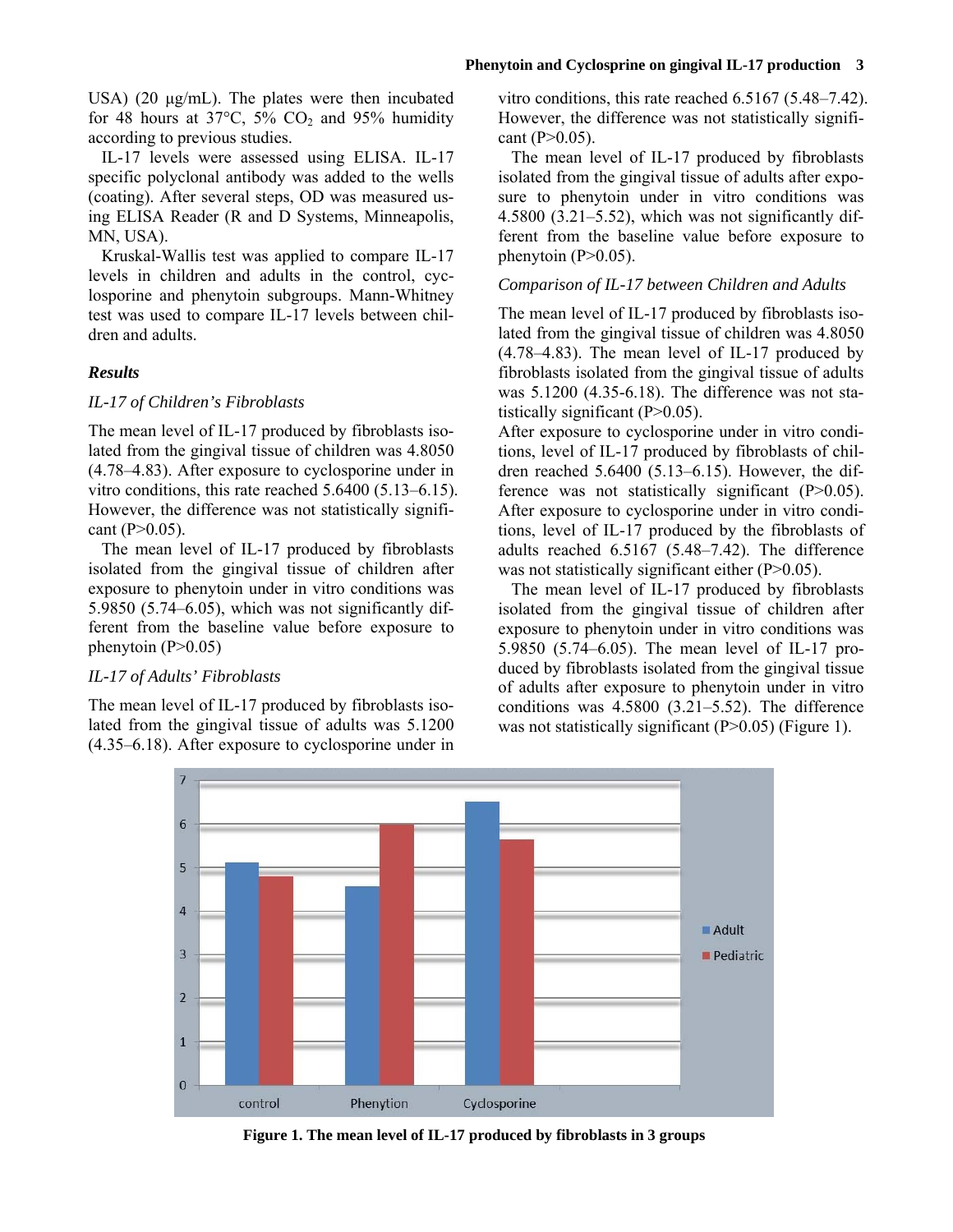USA) (20 μg/mL). The plates were then incubated for 48 hours at  $37^{\circ}$ C,  $5\%$  CO<sub>2</sub> and 95% humidity according to previous studies.

IL-17 levels were assessed using ELISA. IL-17 specific polyclonal antibody was added to the wells (coating). After several steps, OD was measured using ELISA Reader (R and D Systems, Minneapolis, MN, USA).

Kruskal-Wallis test was applied to compare IL-17 levels in children and adults in the control, cyclosporine and phenytoin subgroups. Mann-Whitney test was used to compare IL-17 levels between children and adults.

## *Results*

## *IL-17 of Children's Fibroblasts*

The mean level of IL-17 produced by fibroblasts isolated from the gingival tissue of children was 4.8050 (4.78‒4.83). After exposure to cyclosporine under in vitro conditions, this rate reached  $5.6400$   $(5.13-6.15)$ . However, the difference was not statistically significant (P>0.05).

The mean level of IL-17 produced by fibroblasts isolated from the gingival tissue of children after exposure to phenytoin under in vitro conditions was 5.9850 (5.74 $-6.05$ ), which was not significantly different from the baseline value before exposure to phenytoin  $(P>0.05)$ 

## *IL-17 of Adults' Fibroblasts*

The mean level of IL-17 produced by fibroblasts isolated from the gingival tissue of adults was 5.1200 (4.35‒6.18). After exposure to cyclosporine under in

vitro conditions, this rate reached  $6.5167$   $(5.48-7.42)$ . However, the difference was not statistically significant  $(P>0.05)$ .

The mean level of IL-17 produced by fibroblasts isolated from the gingival tissue of adults after exposure to phenytoin under in vitro conditions was  $4.5800$   $(3.21-5.52)$ , which was not significantly different from the baseline value before exposure to phenytoin  $(P>0.05)$ .

## *Comparison of IL-17 between Children and Adults*

The mean level of IL-17 produced by fibroblasts isolated from the gingival tissue of children was 4.8050  $(4.78-4.83)$ . The mean level of IL-17 produced by fibroblasts isolated from the gingival tissue of adults was 5.1200 (4.35-6.18). The difference was not statistically significant  $(P>0.05)$ .

After exposure to cyclosporine under in vitro conditions, level of IL-17 produced by fibroblasts of children reached  $5.6400(5.13-6.15)$ . However, the difference was not statistically significant (P>0.05). After exposure to cyclosporine under in vitro conditions, level of IL-17 produced by the fibroblasts of adults reached 6.5167 (5.48–7.42). The difference was not statistically significant either (P>0.05).

The mean level of IL-17 produced by fibroblasts isolated from the gingival tissue of children after exposure to phenytoin under in vitro conditions was 5.9850 (5.74‒6.05). The mean level of IL-17 produced by fibroblasts isolated from the gingival tissue of adults after exposure to phenytoin under in vitro conditions was  $4.5800$   $(3.21-5.52)$ . The difference was not statistically significant  $(P>0.05)$  (Figure 1).



**Figure 1. The mean level of IL-17 produced by fibroblasts in 3 groups**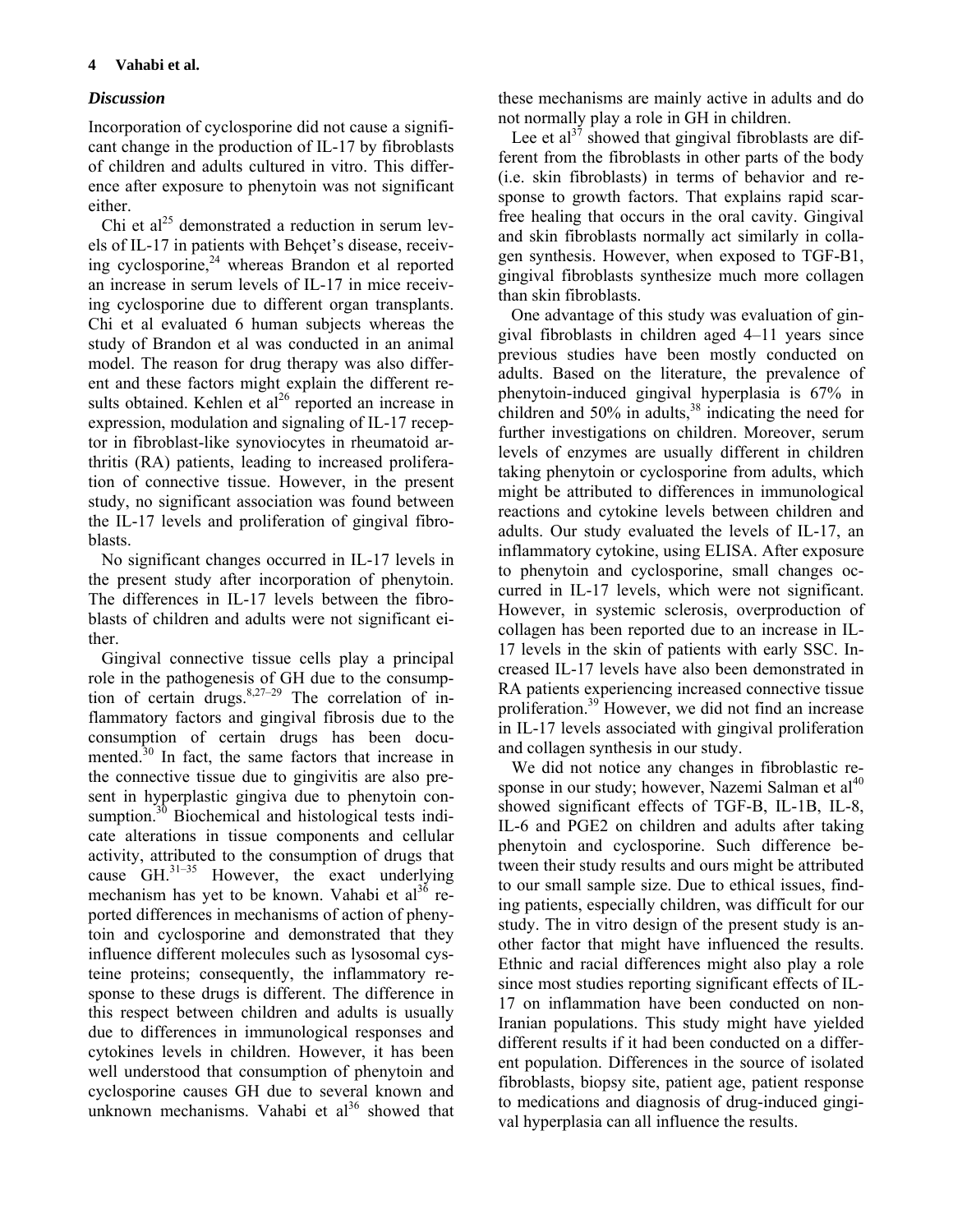# *Discussion*

Incorporation of cyclosporine did not cause a significant change in the production of IL-17 by fibroblasts of children and adults cultured in vitro. This difference after exposure to phenytoin was not significant either.

Chi et al<sup>25</sup> demonstrated a reduction in serum levels of IL-17 in patients with Behçet's disease, receiving cyclosporine, $24$  whereas Brandon et al reported an increase in serum levels of IL-17 in mice receiving cyclosporine due to different organ transplants. Chi et al evaluated 6 human subjects whereas the study of Brandon et al was conducted in an animal model. The reason for drug therapy was also different and these factors might explain the different results obtained. Kehlen et  $al^{26}$  reported an increase in expression, modulation and signaling of IL-17 receptor in fibroblast-like synoviocytes in rheumatoid arthritis (RA) patients, leading to increased proliferation of connective tissue. However, in the present study, no significant association was found between the IL-17 levels and proliferation of gingival fibroblasts.

No significant changes occurred in IL-17 levels in the present study after incorporation of phenytoin. The differences in IL-17 levels between the fibroblasts of children and adults were not significant either.

Gingival connective tissue cells play a principal role in the pathogenesis of GH due to the consumption of certain drugs. $8,27-29$  The correlation of inflammatory factors and gingival fibrosis due to the consumption of certain drugs has been documented.<sup>30</sup> In fact, the same factors that increase in the connective tissue due to gingivitis are also present in hyperplastic gingiva due to phenytoin consumption.<sup>30</sup> Biochemical and histological tests indicate alterations in tissue components and cellular activity, attributed to the consumption of drugs that cause  $GH.<sup>31–35</sup>$  However, the exact underlying mechanism has yet to be known. Vahabi et  $al^{36}$  reported differences in mechanisms of action of phenytoin and cyclosporine and demonstrated that they influence different molecules such as lysosomal cysteine proteins; consequently, the inflammatory response to these drugs is different. The difference in this respect between children and adults is usually due to differences in immunological responses and cytokines levels in children. However, it has been well understood that consumption of phenytoin and cyclosporine causes GH due to several known and unknown mechanisms. Vahabi et  $al^{36}$  showed that these mechanisms are mainly active in adults and do not normally play a role in GH in children.

Lee et al<sup>37</sup> showed that gingival fibroblasts are different from the fibroblasts in other parts of the body (i.e. skin fibroblasts) in terms of behavior and response to growth factors. That explains rapid scarfree healing that occurs in the oral cavity. Gingival and skin fibroblasts normally act similarly in collagen synthesis. However, when exposed to TGF-B1, gingival fibroblasts synthesize much more collagen than skin fibroblasts.

One advantage of this study was evaluation of gingival fibroblasts in children aged 4‒11 years since previous studies have been mostly conducted on adults. Based on the literature, the prevalence of phenytoin-induced gingival hyperplasia is 67% in children and  $50\%$  in adults,  $38$  indicating the need for further investigations on children. Moreover, serum levels of enzymes are usually different in children taking phenytoin or cyclosporine from adults, which might be attributed to differences in immunological reactions and cytokine levels between children and adults. Our study evaluated the levels of IL-17, an inflammatory cytokine, using ELISA. After exposure to phenytoin and cyclosporine, small changes occurred in IL-17 levels, which were not significant. However, in systemic sclerosis, overproduction of collagen has been reported due to an increase in IL-17 levels in the skin of patients with early SSC. Increased IL-17 levels have also been demonstrated in RA patients experiencing increased connective tissue proliferation.39 However, we did not find an increase in IL-17 levels associated with gingival proliferation and collagen synthesis in our study.

We did not notice any changes in fibroblastic response in our study; however, Nazemi Salman et  $al<sup>40</sup>$ showed significant effects of TGF-B, IL-1B, IL-8, IL-6 and PGE2 on children and adults after taking phenytoin and cyclosporine. Such difference between their study results and ours might be attributed to our small sample size. Due to ethical issues, finding patients, especially children, was difficult for our study. The in vitro design of the present study is another factor that might have influenced the results. Ethnic and racial differences might also play a role since most studies reporting significant effects of IL-17 on inflammation have been conducted on non-Iranian populations. This study might have yielded different results if it had been conducted on a different population. Differences in the source of isolated fibroblasts, biopsy site, patient age, patient response to medications and diagnosis of drug-induced gingival hyperplasia can all influence the results.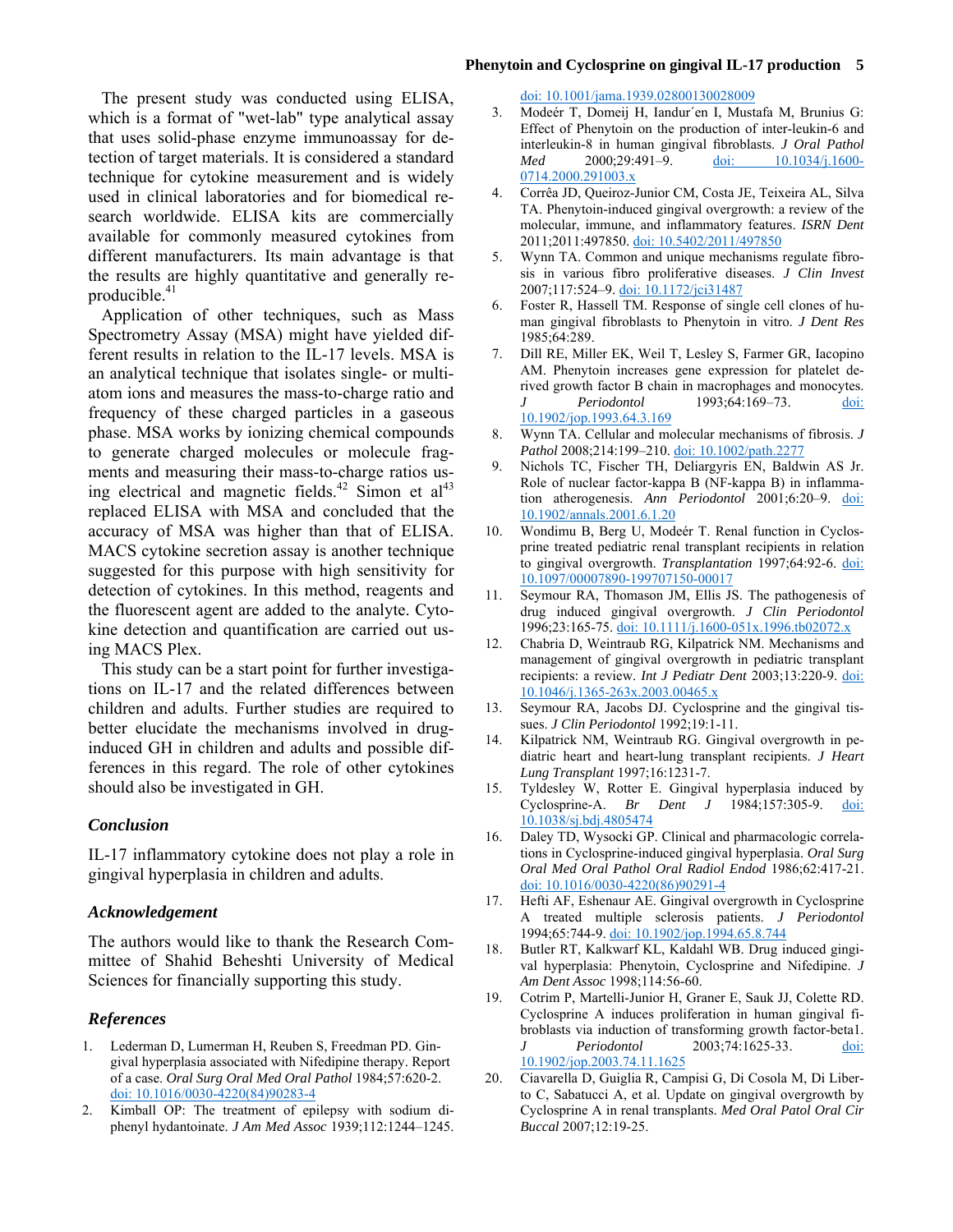### **Phenytoin and Cyclosprine on gingival IL-17 production 5**

The present study was conducted using ELISA, which is a format of "wet-lab" type analytical assay that uses solid-phase enzyme immunoassay for detection of target materials. It is considered a standard technique for cytokine measurement and is widely used in clinical laboratories and for biomedical research worldwide. ELISA kits are commercially available for commonly measured cytokines from different manufacturers. Its main advantage is that the results are highly quantitative and generally reproducible.<sup>41</sup>

Application of other techniques, such as Mass Spectrometry Assay (MSA) might have yielded different results in relation to the IL-17 levels. MSA is an analytical technique that isolates single- or multiatom ions and measures the mass-to-charge ratio and frequency of these charged particles in a gaseous phase. MSA works by ionizing chemical compounds to generate charged molecules or molecule fragments and measuring their mass-to-charge ratios using electrical and magnetic fields.<sup>42</sup> Simon et  $al<sup>43</sup>$ replaced ELISA with MSA and concluded that the accuracy of MSA was higher than that of ELISA. MACS cytokine secretion assay is another technique suggested for this purpose with high sensitivity for detection of cytokines. In this method, reagents and the fluorescent agent are added to the analyte. Cytokine detection and quantification are carried out using MACS Plex.

This study can be a start point for further investigations on IL-17 and the related differences between children and adults. Further studies are required to better elucidate the mechanisms involved in druginduced GH in children and adults and possible differences in this regard. The role of other cytokines should also be investigated in GH.

#### *Conclusion*

IL-17 inflammatory cytokine does not play a role in gingival hyperplasia in children and adults.

### *Acknowledgement*

The authors would like to thank the Research Committee of Shahid Beheshti University of Medical Sciences for financially supporting this study.

## *References*

- 1. Lederman D, Lumerman H, Reuben S, Freedman PD. Gingival hyperplasia associated with Nifedipine therapy. Report of a case. *Oral Surg Oral Med Oral Pathol* 1984;57:620-2. [doi: 10.1016/0030-4220\(84\)90283-4](http://dx.doi.org/10.1016/0030-4220(84)90283-4)
- 2. Kimball OP: The treatment of epilepsy with sodium diphenyl hydantoinate. *J Am Med Assoc* 1939;112:1244–1245.

[doi: 10.1001/jama.1939.02800130028009](http://dx.doi.org/10.1001/jama.1939.02800130028009)

- 3. Modeér T, Domeij H, Iandur´en I, Mustafa M, Brunius G: Effect of Phenytoin on the production of inter-leukin-6 and interleukin-8 in human gingival fibroblasts. *J Oral Pathol Med* 2000;29:491-9. [doi: 10.1034/j.1600-](http://dx.doi.org/10.1034/j.1600-0714.2000.291003.x) [0714.2000.291003.x](http://dx.doi.org/10.1034/j.1600-0714.2000.291003.x)
- 4. Corrêa JD, Queiroz-Junior CM, Costa JE, Teixeira AL, Silva TA. Phenytoin-induced gingival overgrowth: a review of the molecular, immune, and inflammatory features. *ISRN Dent* 2011;2011:497850. [doi: 10.5402/2011/497850](http://dx.doi.org/10.5402/2011/497850)
- 5. Wynn TA. Common and unique mechanisms regulate fibrosis in various fibro proliferative diseases. *J Clin Invest* 2007;117:524–9. [doi: 10.1172/jci31487](http://dx.doi.org/10.1172/jci31487)
- 6. Foster R, Hassell TM. Response of single cell clones of human gingival fibroblasts to Phenytoin in vitro. *J Dent Res* 1985;64:289.
- 7. Dill RE, Miller EK, Weil T, Lesley S, Farmer GR, Iacopino AM. Phenytoin increases gene expression for platelet derived growth factor B chain in macrophages and monocytes. *J Periodontol* 1993;64:169–73. [doi:](http://dx.doi.org/10.1902/jop.1993.64.3.169)  [10.1902/jop.1993.64.3.169](http://dx.doi.org/10.1902/jop.1993.64.3.169)
- 8. Wynn TA. Cellular and molecular mechanisms of fibrosis. *J Pathol* 2008;214:199–210. [doi: 10.1002/path.2277](http://dx.doi.org/10.1002/path.2277)
- 9. Nichols TC, Fischer TH, Deliargyris EN, Baldwin AS Jr. Role of nuclear factor-kappa B (NF-kappa B) in inflammation atherogenesis. *Ann Periodontol* 2001;6:20–9. [doi:](http://dx.doi.org/10.1902/annals.2001.6.1.20)  [10.1902/annals.2001.6.1.20](http://dx.doi.org/10.1902/annals.2001.6.1.20)
- 10. Wondimu B, Berg U, Modeér T. Renal function in Cyclosprine treated pediatric renal transplant recipients in relation to gingival overgrowth. *Transplantation* 1997;64:92-6. [doi:](http://dx.doi.org/10.1097/00007890-199707150-00017)  [10.1097/00007890-199707150-00017](http://dx.doi.org/10.1097/00007890-199707150-00017)
- 11. Seymour RA, Thomason JM, Ellis JS. The pathogenesis of drug induced gingival overgrowth. *J Clin Periodontol* 1996;23:165-75. [doi: 10.1111/j.1600-051x.1996.tb02072.x](http://dx.doi.org/10.1111/j.1600-051x.1996.tb02072.x)
- 12. Chabria D, Weintraub RG, Kilpatrick NM. Mechanisms and management of gingival overgrowth in pediatric transplant recipients: a review. *Int J Pediatr Dent* 2003;13:220-9. [doi:](http://dx.doi.org/10.1046/j.1365-263x.2003.00465.x)  [10.1046/j.1365-263x.2003.00465.x](http://dx.doi.org/10.1046/j.1365-263x.2003.00465.x)
- 13. Seymour RA, Jacobs DJ. Cyclosprine and the gingival tissues. *J Clin Periodontol* 1992;19:1-11.
- 14. Kilpatrick NM, Weintraub RG. Gingival overgrowth in pediatric heart and heart-lung transplant recipients. *J Heart Lung Transplant* 1997;16:1231-7.
- 15. Tyldesley W, Rotter E. Gingival hyperplasia induced by Cyclosprine-A. *Br Dent J* 1984;157:305-9. [doi:](http://dx.doi.org/10.1038/sj.bdj.4805474)  [10.1038/sj.bdj.4805474](http://dx.doi.org/10.1038/sj.bdj.4805474)
- 16. Daley TD, Wysocki GP. Clinical and pharmacologic correlations in Cyclosprine-induced gingival hyperplasia. *Oral Surg Oral Med Oral Pathol Oral Radiol Endod* 1986;62:417-21. [doi: 10.1016/0030-4220\(86\)90291-4](http://dx.doi.org/10.1016/0030-4220(86)90291-4)
- 17. Hefti AF, Eshenaur AE. Gingival overgrowth in Cyclosprine A treated multiple sclerosis patients. *J Periodontol* 1994;65:744-9. [doi: 10.1902/jop.1994.65.8.744](http://dx.doi.org/10.1902/jop.1994.65.8.744)
- 18. Butler RT, Kalkwarf KL, Kaldahl WB. Drug induced gingival hyperplasia: Phenytoin, Cyclosprine and Nifedipine. *J Am Dent Assoc* 1998;114:56-60.
- 19. Cotrim P, Martelli-Junior H, Graner E, Sauk JJ, Colette RD. Cyclosprine A induces proliferation in human gingival fibroblasts via induction of transforming growth factor-beta1. *J Periodontol* 2003;74:1625-33. doi: [10.1902/jop.2003.74.11.1625](http://dx.doi.org/10.1902/jop.2003.74.11.1625)
- 20. Ciavarella D, Guiglia R, Campisi G, Di Cosola M, Di Liberto C, Sabatucci A, et al. Update on gingival overgrowth by Cyclosprine A in renal transplants. *Med Oral Patol Oral Cir Buccal* 2007;12:19-25.